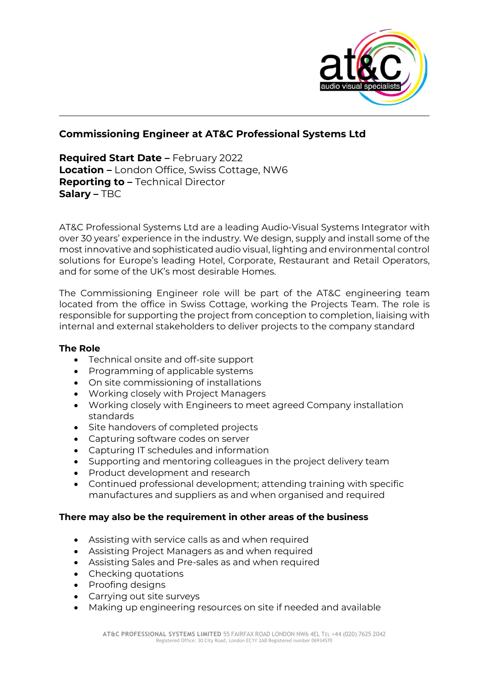

## **Commissioning Engineer at AT&C Professional Systems Ltd**

**Required Start Date –** February 2022 **Location –** London Office, Swiss Cottage, NW6 **Reporting to –** Technical Director **Salary –** TBC

AT&C Professional Systems Ltd are a leading Audio-Visual Systems Integrator with over 30 years' experience in the industry. We design, supply and install some of the most innovative and sophisticated audio visual, lighting and environmental control solutions for Europe's leading Hotel, Corporate, Restaurant and Retail Operators, and for some of the UK's most desirable Homes.

The Commissioning Engineer role will be part of the AT&C engineering team located from the office in Swiss Cottage, working the Projects Team. The role is responsible for supporting the project from conception to completion, liaising with internal and external stakeholders to deliver projects to the company standard

## **The Role**

- Technical onsite and off-site support
- Programming of applicable systems
- On site commissioning of installations
- Working closely with Project Managers
- Working closely with Engineers to meet agreed Company installation standards
- Site handovers of completed projects
- Capturing software codes on server
- Capturing IT schedules and information
- Supporting and mentoring colleagues in the project delivery team
- Product development and research
- Continued professional development; attending training with specific manufactures and suppliers as and when organised and required

## **There may also be the requirement in other areas of the business**

- Assisting with service calls as and when required
- Assisting Project Managers as and when required
- Assisting Sales and Pre-sales as and when required
- Checking quotations
- Proofing designs
- Carrying out site surveys
- Making up engineering resources on site if needed and available